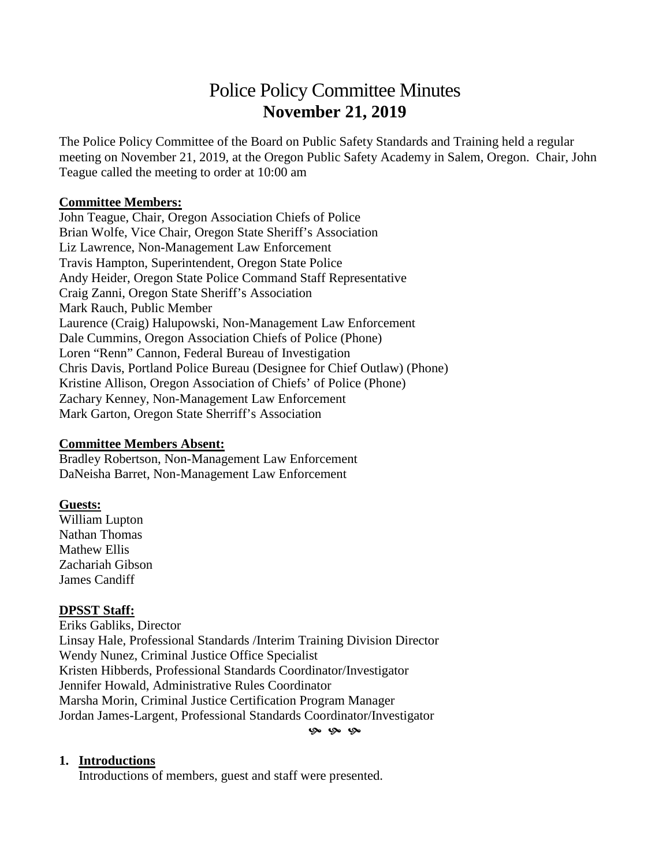# Police Policy Committee Minutes **November 21, 2019**

The Police Policy Committee of the Board on Public Safety Standards and Training held a regular meeting on November 21, 2019, at the Oregon Public Safety Academy in Salem, Oregon. Chair, John Teague called the meeting to order at 10:00 am

#### **Committee Members:**

John Teague, Chair, Oregon Association Chiefs of Police Brian Wolfe, Vice Chair, Oregon State Sheriff's Association Liz Lawrence, Non-Management Law Enforcement Travis Hampton, Superintendent, Oregon State Police Andy Heider, Oregon State Police Command Staff Representative Craig Zanni, Oregon State Sheriff's Association Mark Rauch, Public Member Laurence (Craig) Halupowski, Non-Management Law Enforcement Dale Cummins, Oregon Association Chiefs of Police (Phone) Loren "Renn" Cannon, Federal Bureau of Investigation Chris Davis, Portland Police Bureau (Designee for Chief Outlaw) (Phone) Kristine Allison, Oregon Association of Chiefs' of Police (Phone) Zachary Kenney, Non-Management Law Enforcement Mark Garton, Oregon State Sherriff's Association

#### **Committee Members Absent:**

Bradley Robertson, Non-Management Law Enforcement DaNeisha Barret, Non-Management Law Enforcement

### **Guests:**

William Lupton Nathan Thomas Mathew Ellis Zachariah Gibson James Candiff

### **DPSST Staff:**

Eriks Gabliks, Director Linsay Hale, Professional Standards /Interim Training Division Director Wendy Nunez, Criminal Justice Office Specialist Kristen Hibberds, Professional Standards Coordinator/Investigator Jennifer Howald, Administrative Rules Coordinator Marsha Morin, Criminal Justice Certification Program Manager Jordan James-Largent, Professional Standards Coordinator/Investigator

 $Q_0$   $Q_0$   $Q_0$ 

#### **1. Introductions**

Introductions of members, guest and staff were presented.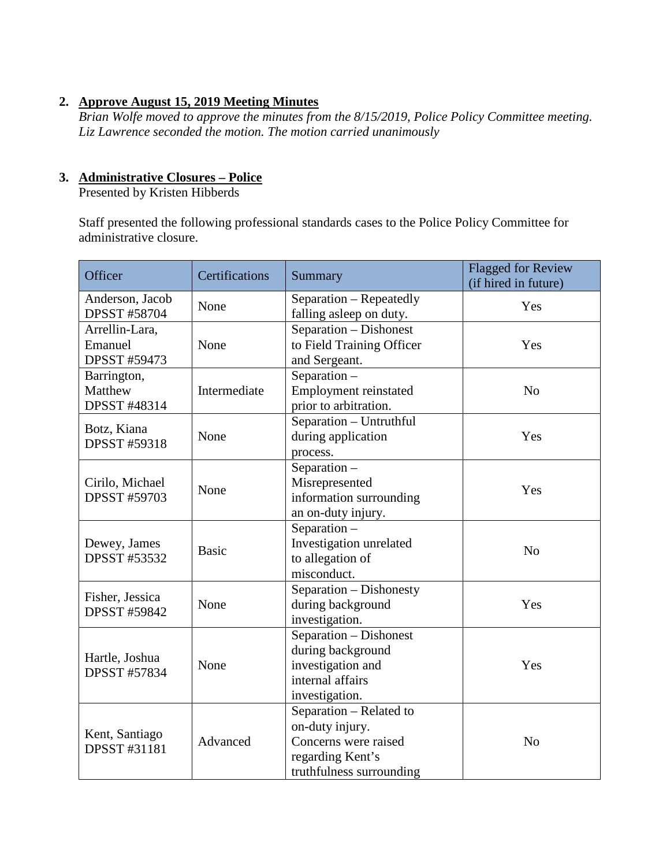### **2. Approve August 15, 2019 Meeting Minutes**

*Brian Wolfe moved to approve the minutes from the 8/15/2019, Police Policy Committee meeting. Liz Lawrence seconded the motion. The motion carried unanimously*

#### **3. Administrative Closures – Police**

Presented by Kristen Hibberds

Staff presented the following professional standards cases to the Police Policy Committee for administrative closure.

| Officer                                          | Certifications | Summary                                                                                                            | <b>Flagged for Review</b><br>(if hired in future) |
|--------------------------------------------------|----------------|--------------------------------------------------------------------------------------------------------------------|---------------------------------------------------|
| Anderson, Jacob<br><b>DPSST #58704</b>           | None           | Separation - Repeatedly<br>falling asleep on duty.                                                                 | Yes                                               |
| Arrellin-Lara,<br>Emanuel<br><b>DPSST #59473</b> | None           | Separation - Dishonest<br>to Field Training Officer<br>and Sergeant.                                               | Yes                                               |
| Barrington,<br>Matthew<br><b>DPSST #48314</b>    | Intermediate   | Separation -<br><b>Employment reinstated</b><br>prior to arbitration.                                              | N <sub>o</sub>                                    |
| Botz, Kiana<br><b>DPSST #59318</b>               | None           | Separation - Untruthful<br>during application<br>process.                                                          | Yes                                               |
| Cirilo, Michael<br><b>DPSST #59703</b>           | None           | Separation -<br>Misrepresented<br>information surrounding<br>an on-duty injury.                                    | Yes                                               |
| Dewey, James<br><b>DPSST #53532</b>              | <b>Basic</b>   | Separation $-$<br>Investigation unrelated<br>to allegation of<br>misconduct.                                       | N <sub>0</sub>                                    |
| Fisher, Jessica<br><b>DPSST #59842</b>           | None           | Separation - Dishonesty<br>during background<br>investigation.                                                     | Yes                                               |
| Hartle, Joshua<br><b>DPSST #57834</b>            | None           | Separation - Dishonest<br>during background<br>investigation and<br>internal affairs<br>investigation.             | Yes                                               |
| Kent, Santiago<br><b>DPSST #31181</b>            | Advanced       | Separation - Related to<br>on-duty injury.<br>Concerns were raised<br>regarding Kent's<br>truthfulness surrounding | N <sub>o</sub>                                    |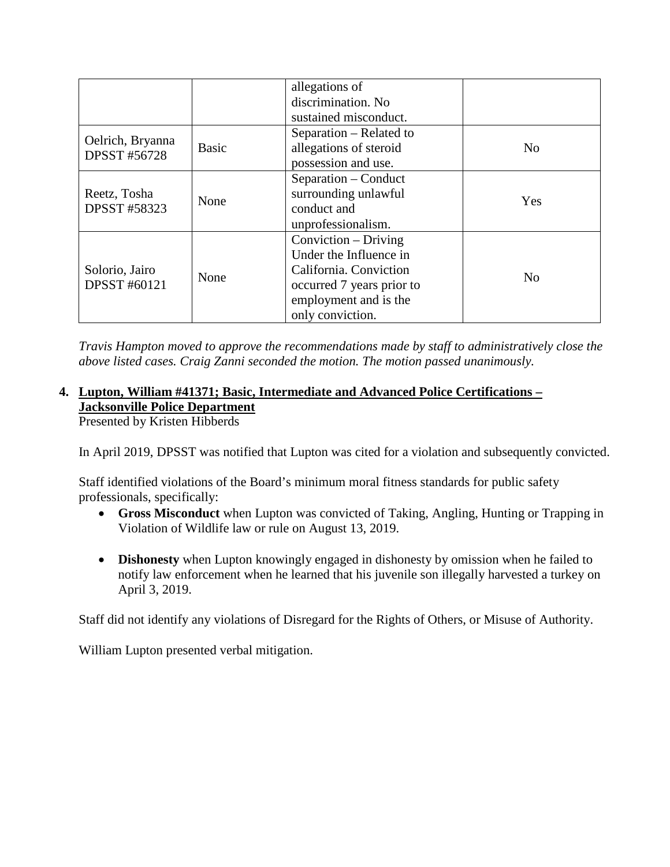|                                       |       | allegations of<br>discrimination. No |                |
|---------------------------------------|-------|--------------------------------------|----------------|
|                                       |       | sustained misconduct.                |                |
| Oelrich, Bryanna                      |       | Separation – Related to              |                |
| <b>DPSST #56728</b>                   | Basic | allegations of steroid               | N <sub>0</sub> |
|                                       |       | possession and use.                  |                |
|                                       |       | Separation – Conduct                 |                |
| Reetz, Tosha                          | None  | surrounding unlawful                 | Yes            |
| <b>DPSST #58323</b>                   |       | conduct and                          |                |
|                                       |       | unprofessionalism.                   |                |
|                                       |       | Conviction – Driving                 |                |
|                                       |       | Under the Influence in               |                |
| Solorio, Jairo<br><b>DPSST #60121</b> | None  | California. Conviction               | N <sub>0</sub> |
|                                       |       | occurred 7 years prior to            |                |
|                                       |       | employment and is the                |                |
|                                       |       | only conviction.                     |                |

*Travis Hampton moved to approve the recommendations made by staff to administratively close the above listed cases. Craig Zanni seconded the motion. The motion passed unanimously.* 

# **4. Lupton, William #41371; Basic, Intermediate and Advanced Police Certifications – Jacksonville Police Department**

Presented by Kristen Hibberds

In April 2019, DPSST was notified that Lupton was cited for a violation and subsequently convicted.

Staff identified violations of the Board's minimum moral fitness standards for public safety professionals, specifically:

- **Gross Misconduct** when Lupton was convicted of Taking, Angling, Hunting or Trapping in Violation of Wildlife law or rule on August 13, 2019.
- **Dishonesty** when Lupton knowingly engaged in dishonesty by omission when he failed to notify law enforcement when he learned that his juvenile son illegally harvested a turkey on April 3, 2019.

Staff did not identify any violations of Disregard for the Rights of Others, or Misuse of Authority.

William Lupton presented verbal mitigation.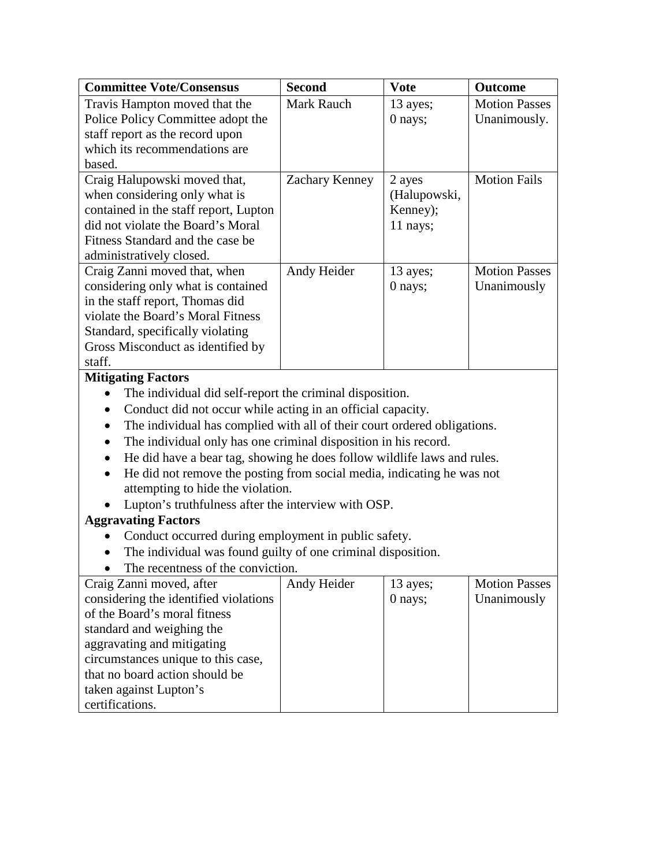| <b>Committee Vote/Consensus</b>                                                      | <b>Second</b>     | <b>Vote</b>  | <b>Outcome</b>       |
|--------------------------------------------------------------------------------------|-------------------|--------------|----------------------|
| Travis Hampton moved that the                                                        | <b>Mark Rauch</b> | 13 ayes;     | <b>Motion Passes</b> |
| Police Policy Committee adopt the                                                    |                   | 0 nays;      | Unanimously.         |
| staff report as the record upon                                                      |                   |              |                      |
| which its recommendations are                                                        |                   |              |                      |
| based.                                                                               |                   |              |                      |
| Craig Halupowski moved that,                                                         | Zachary Kenney    | 2 ayes       | <b>Motion Fails</b>  |
| when considering only what is                                                        |                   | (Halupowski, |                      |
| contained in the staff report, Lupton                                                |                   | Kenney);     |                      |
| did not violate the Board's Moral                                                    |                   | 11 nays;     |                      |
| Fitness Standard and the case be                                                     |                   |              |                      |
| administratively closed.                                                             |                   |              |                      |
| Craig Zanni moved that, when                                                         | Andy Heider       | 13 ayes;     | <b>Motion Passes</b> |
| considering only what is contained                                                   |                   | 0 nays;      | Unanimously          |
| in the staff report, Thomas did                                                      |                   |              |                      |
| violate the Board's Moral Fitness                                                    |                   |              |                      |
| Standard, specifically violating                                                     |                   |              |                      |
| Gross Misconduct as identified by                                                    |                   |              |                      |
| staff.                                                                               |                   |              |                      |
| <b>Mitigating Factors</b>                                                            |                   |              |                      |
| The individual did self-report the criminal disposition.                             |                   |              |                      |
| Conduct did not occur while acting in an official capacity.                          |                   |              |                      |
| The individual has complied with all of their court ordered obligations.             |                   |              |                      |
| The individual only has one criminal disposition in his record.                      |                   |              |                      |
| He did have a bear tag, showing he does follow wildlife laws and rules.<br>$\bullet$ |                   |              |                      |
| He did not remove the posting from social media, indicating he was not<br>$\bullet$  |                   |              |                      |
| attempting to hide the violation.                                                    |                   |              |                      |
| Lupton's truthfulness after the interview with OSP.                                  |                   |              |                      |
| <b>Aggravating Factors</b>                                                           |                   |              |                      |
| Conduct occurred during employment in public safety.                                 |                   |              |                      |
| The individual was found guilty of one criminal disposition.                         |                   |              |                      |
| The recentness of the conviction.                                                    |                   |              |                      |
| Craig Zanni moved, after                                                             | Andy Heider       | 13 ayes;     | <b>Motion Passes</b> |
| considering the identified violations                                                |                   | 0 nays;      | Unanimously          |
| of the Board's moral fitness                                                         |                   |              |                      |
| standard and weighing the                                                            |                   |              |                      |
| aggravating and mitigating                                                           |                   |              |                      |
| circumstances unique to this case,                                                   |                   |              |                      |
| that no board action should be                                                       |                   |              |                      |
| taken against Lupton's                                                               |                   |              |                      |
| certifications.                                                                      |                   |              |                      |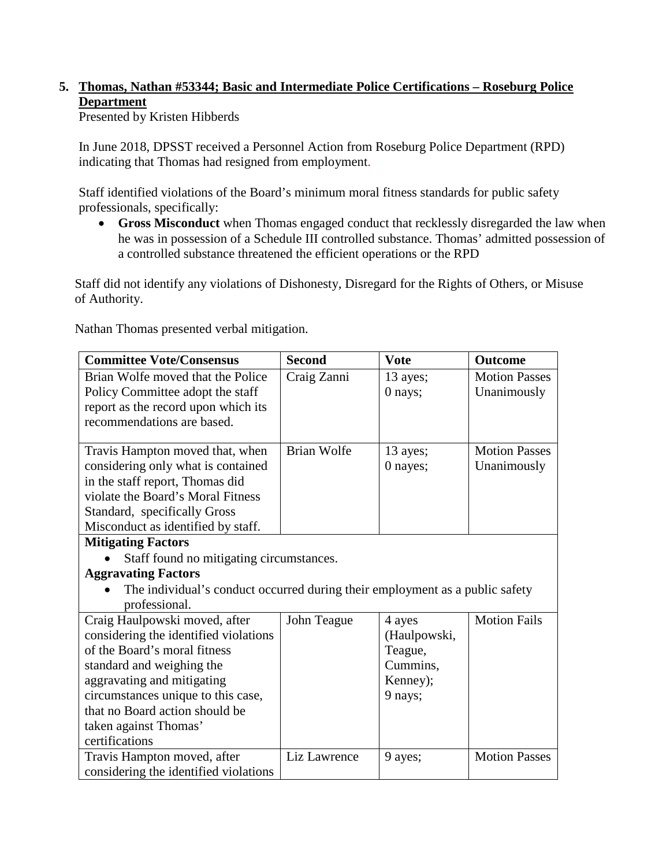# **5. Thomas, Nathan #53344; Basic and Intermediate Police Certifications – Roseburg Police Department**

Presented by Kristen Hibberds

In June 2018, DPSST received a Personnel Action from Roseburg Police Department (RPD) indicating that Thomas had resigned from employment.

Staff identified violations of the Board's minimum moral fitness standards for public safety professionals, specifically:

• **Gross Misconduct** when Thomas engaged conduct that recklessly disregarded the law when he was in possession of a Schedule III controlled substance. Thomas' admitted possession of a controlled substance threatened the efficient operations or the RPD

Staff did not identify any violations of Dishonesty, Disregard for the Rights of Others, or Misuse of Authority.

Nathan Thomas presented verbal mitigation.

| <b>Committee Vote/Consensus</b>                                              | <b>Second</b>      | <b>Vote</b>  | <b>Outcome</b>       |
|------------------------------------------------------------------------------|--------------------|--------------|----------------------|
| Brian Wolfe moved that the Police                                            | Craig Zanni        | 13 ayes;     | <b>Motion Passes</b> |
| Policy Committee adopt the staff                                             |                    | 0 nays;      | Unanimously          |
| report as the record upon which its                                          |                    |              |                      |
| recommendations are based.                                                   |                    |              |                      |
|                                                                              |                    |              |                      |
| Travis Hampton moved that, when                                              | <b>Brian Wolfe</b> | 13 ayes;     | <b>Motion Passes</b> |
| considering only what is contained                                           |                    | 0 nayes;     | Unanimously          |
| in the staff report, Thomas did                                              |                    |              |                      |
| violate the Board's Moral Fitness                                            |                    |              |                      |
| Standard, specifically Gross                                                 |                    |              |                      |
| Misconduct as identified by staff.                                           |                    |              |                      |
| <b>Mitigating Factors</b>                                                    |                    |              |                      |
| Staff found no mitigating circumstances.                                     |                    |              |                      |
| <b>Aggravating Factors</b>                                                   |                    |              |                      |
| The individual's conduct occurred during their employment as a public safety |                    |              |                      |
| professional.                                                                |                    |              |                      |
| Craig Haulpowski moved, after                                                | John Teague        | 4 ayes       | <b>Motion Fails</b>  |
| considering the identified violations                                        |                    | (Haulpowski, |                      |
| of the Board's moral fitness                                                 |                    | Teague,      |                      |
| standard and weighing the                                                    |                    | Cummins,     |                      |
| aggravating and mitigating                                                   |                    | Kenney);     |                      |
| circumstances unique to this case,                                           |                    | 9 nays;      |                      |
| that no Board action should be                                               |                    |              |                      |
| taken against Thomas'                                                        |                    |              |                      |
| certifications                                                               |                    |              |                      |
| Travis Hampton moved, after                                                  | Liz Lawrence       | 9 ayes;      | <b>Motion Passes</b> |
| considering the identified violations                                        |                    |              |                      |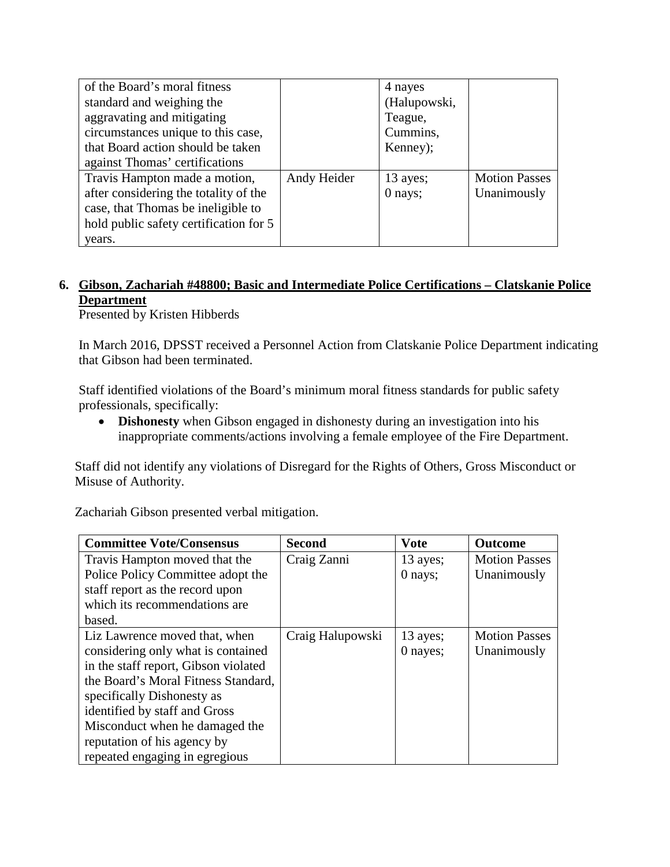| of the Board's moral fitness           |             | 4 nayes      |                      |
|----------------------------------------|-------------|--------------|----------------------|
| standard and weighing the              |             | (Halupowski, |                      |
| aggravating and mitigating             |             | Teague,      |                      |
| circumstances unique to this case,     |             | Cummins,     |                      |
| that Board action should be taken      |             | Kenney);     |                      |
| against Thomas' certifications         |             |              |                      |
| Travis Hampton made a motion,          | Andy Heider | 13 ayes;     | <b>Motion Passes</b> |
| after considering the totality of the  |             | 0 nays;      | Unanimously          |
| case, that Thomas be ineligible to     |             |              |                      |
| hold public safety certification for 5 |             |              |                      |
| years.                                 |             |              |                      |

### **6. Gibson, Zachariah #48800; Basic and Intermediate Police Certifications – Clatskanie Police Department**

Presented by Kristen Hibberds

In March 2016, DPSST received a Personnel Action from Clatskanie Police Department indicating that Gibson had been terminated.

Staff identified violations of the Board's minimum moral fitness standards for public safety professionals, specifically:

• **Dishonesty** when Gibson engaged in dishonesty during an investigation into his inappropriate comments/actions involving a female employee of the Fire Department.

Staff did not identify any violations of Disregard for the Rights of Others, Gross Misconduct or Misuse of Authority.

Zachariah Gibson presented verbal mitigation.

| <b>Committee Vote/Consensus</b>      | <b>Second</b>    | <b>Vote</b> | <b>Outcome</b>       |
|--------------------------------------|------------------|-------------|----------------------|
| Travis Hampton moved that the        | Craig Zanni      | $13$ ayes;  | <b>Motion Passes</b> |
| Police Policy Committee adopt the    |                  | $0$ nays;   | Unanimously          |
| staff report as the record upon      |                  |             |                      |
| which its recommendations are        |                  |             |                      |
| based.                               |                  |             |                      |
| Liz Lawrence moved that, when        | Craig Halupowski | $13$ ayes;  | <b>Motion Passes</b> |
| considering only what is contained   |                  | 0 nayes;    | Unanimously          |
| in the staff report, Gibson violated |                  |             |                      |
| the Board's Moral Fitness Standard,  |                  |             |                      |
| specifically Dishonesty as           |                  |             |                      |
| identified by staff and Gross        |                  |             |                      |
| Misconduct when he damaged the       |                  |             |                      |
| reputation of his agency by          |                  |             |                      |
| repeated engaging in egregious       |                  |             |                      |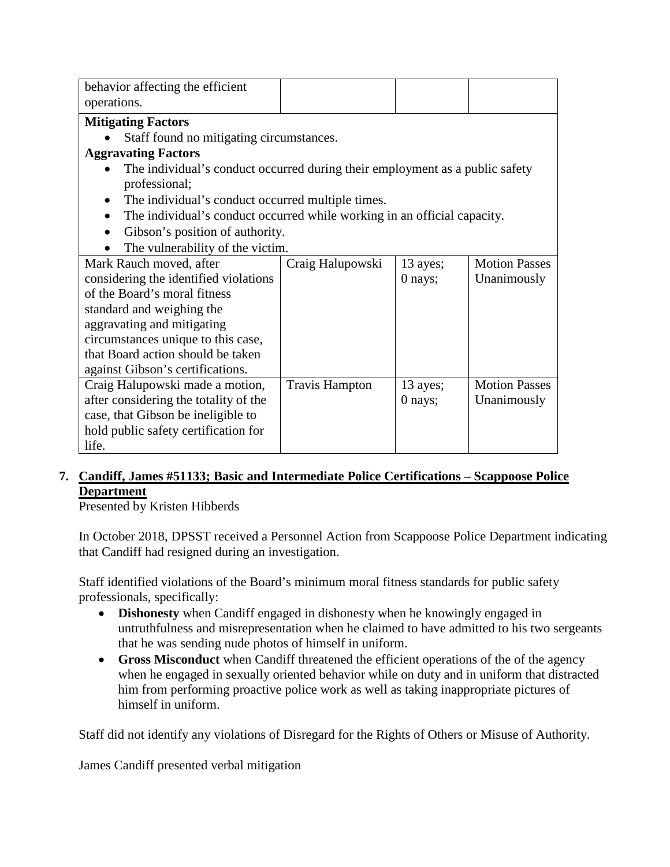| behavior affecting the efficient                                                      |                       |          |                      |
|---------------------------------------------------------------------------------------|-----------------------|----------|----------------------|
| operations.                                                                           |                       |          |                      |
| <b>Mitigating Factors</b>                                                             |                       |          |                      |
| Staff found no mitigating circumstances.                                              |                       |          |                      |
| <b>Aggravating Factors</b>                                                            |                       |          |                      |
| The individual's conduct occurred during their employment as a public safety          |                       |          |                      |
| professional;                                                                         |                       |          |                      |
| The individual's conduct occurred multiple times.                                     |                       |          |                      |
| The individual's conduct occurred while working in an official capacity.<br>$\bullet$ |                       |          |                      |
| Gibson's position of authority.                                                       |                       |          |                      |
| The vulnerability of the victim.                                                      |                       |          |                      |
| Mark Rauch moved, after                                                               | Craig Halupowski      | 13 ayes; | <b>Motion Passes</b> |
| considering the identified violations                                                 |                       | 0 nays;  | Unanimously          |
| of the Board's moral fitness                                                          |                       |          |                      |
| standard and weighing the                                                             |                       |          |                      |
| aggravating and mitigating                                                            |                       |          |                      |
| circumstances unique to this case,                                                    |                       |          |                      |
| that Board action should be taken                                                     |                       |          |                      |
| against Gibson's certifications.                                                      |                       |          |                      |
| Craig Halupowski made a motion,                                                       | <b>Travis Hampton</b> | 13 ayes; | <b>Motion Passes</b> |
| after considering the totality of the                                                 |                       | 0 nays;  | Unanimously          |
| case, that Gibson be ineligible to                                                    |                       |          |                      |
| hold public safety certification for                                                  |                       |          |                      |
| life.                                                                                 |                       |          |                      |

### **7. Candiff, James #51133; Basic and Intermediate Police Certifications – Scappoose Police Department**

Presented by Kristen Hibberds

In October 2018, DPSST received a Personnel Action from Scappoose Police Department indicating that Candiff had resigned during an investigation.

Staff identified violations of the Board's minimum moral fitness standards for public safety professionals, specifically:

- **Dishonesty** when Candiff engaged in dishonesty when he knowingly engaged in untruthfulness and misrepresentation when he claimed to have admitted to his two sergeants that he was sending nude photos of himself in uniform.
- **Gross Misconduct** when Candiff threatened the efficient operations of the of the agency when he engaged in sexually oriented behavior while on duty and in uniform that distracted him from performing proactive police work as well as taking inappropriate pictures of himself in uniform.

Staff did not identify any violations of Disregard for the Rights of Others or Misuse of Authority.

James Candiff presented verbal mitigation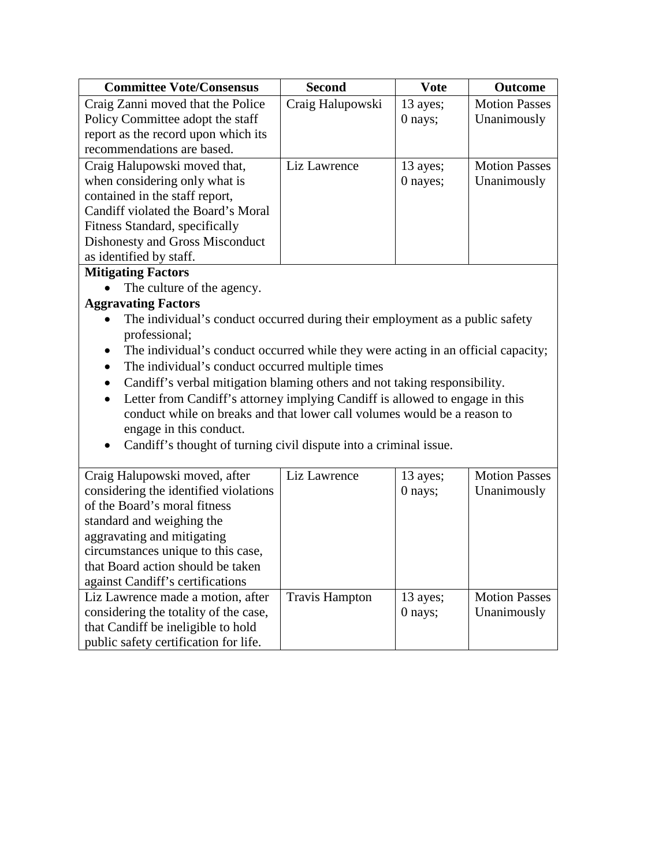| <b>Committee Vote/Consensus</b>     | <b>Second</b>    | <b>Vote</b> | <b>Outcome</b>       |
|-------------------------------------|------------------|-------------|----------------------|
| Craig Zanni moved that the Police   | Craig Halupowski | 13 ayes;    | <b>Motion Passes</b> |
| Policy Committee adopt the staff    |                  | 0 nays;     | Unanimously          |
| report as the record upon which its |                  |             |                      |
| recommendations are based.          |                  |             |                      |
| Craig Halupowski moved that,        | Liz Lawrence     | 13 ayes;    | <b>Motion Passes</b> |
| when considering only what is       |                  | 0 nayes;    | Unanimously          |
| contained in the staff report,      |                  |             |                      |
| Candiff violated the Board's Moral  |                  |             |                      |
| Fitness Standard, specifically      |                  |             |                      |
| Dishonesty and Gross Misconduct     |                  |             |                      |
| as identified by staff.             |                  |             |                      |

### **Mitigating Factors**

• The culture of the agency.

### **Aggravating Factors**

- The individual's conduct occurred during their employment as a public safety professional;
- The individual's conduct occurred while they were acting in an official capacity;
- The individual's conduct occurred multiple times
- Candiff's verbal mitigation blaming others and not taking responsibility.
- Letter from Candiff's attorney implying Candiff is allowed to engage in this conduct while on breaks and that lower call volumes would be a reason to engage in this conduct.
- Candiff's thought of turning civil dispute into a criminal issue.

| Craig Halupowski moved, after         | Liz Lawrence          | 13 ayes;  | <b>Motion Passes</b> |
|---------------------------------------|-----------------------|-----------|----------------------|
| considering the identified violations |                       | $0$ nays; | Unanimously          |
| of the Board's moral fitness          |                       |           |                      |
| standard and weighing the             |                       |           |                      |
| aggravating and mitigating            |                       |           |                      |
| circumstances unique to this case,    |                       |           |                      |
| that Board action should be taken     |                       |           |                      |
| against Candiff's certifications      |                       |           |                      |
| Liz Lawrence made a motion, after     | <b>Travis Hampton</b> | 13 ayes;  | <b>Motion Passes</b> |
| considering the totality of the case, |                       | $0$ nays; | Unanimously          |
| that Candiff be ineligible to hold    |                       |           |                      |
| public safety certification for life. |                       |           |                      |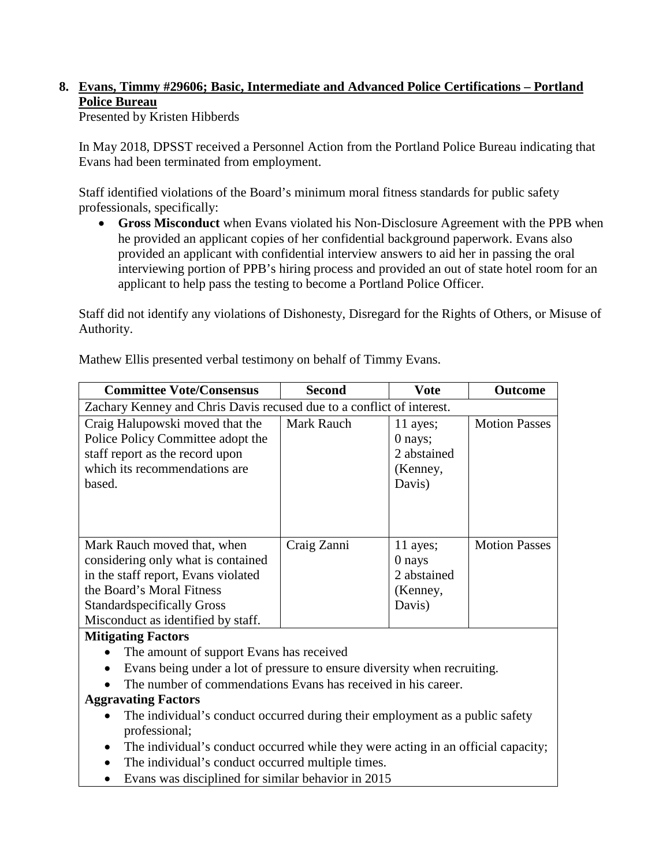# **8. Evans, Timmy #29606; Basic, Intermediate and Advanced Police Certifications – Portland Police Bureau**

Presented by Kristen Hibberds

In May 2018, DPSST received a Personnel Action from the Portland Police Bureau indicating that Evans had been terminated from employment.

Staff identified violations of the Board's minimum moral fitness standards for public safety professionals, specifically:

• **Gross Misconduct** when Evans violated his Non-Disclosure Agreement with the PPB when he provided an applicant copies of her confidential background paperwork. Evans also provided an applicant with confidential interview answers to aid her in passing the oral interviewing portion of PPB's hiring process and provided an out of state hotel room for an applicant to help pass the testing to become a Portland Police Officer.

Staff did not identify any violations of Dishonesty, Disregard for the Rights of Others, or Misuse of Authority.

Mathew Ellis presented verbal testimony on behalf of Timmy Evans.

| <b>Committee Vote/Consensus</b>                                                                                                                                                                                  | <b>Second</b> | <b>Vote</b>                                                | <b>Outcome</b>       |
|------------------------------------------------------------------------------------------------------------------------------------------------------------------------------------------------------------------|---------------|------------------------------------------------------------|----------------------|
| Zachary Kenney and Chris Davis recused due to a conflict of interest.                                                                                                                                            |               |                                                            |                      |
| Craig Halupowski moved that the<br>Police Policy Committee adopt the<br>staff report as the record upon<br>which its recommendations are<br>based.                                                               | Mark Rauch    | 11 ayes;<br>$0$ nays;<br>2 abstained<br>(Kenney,<br>Davis) | <b>Motion Passes</b> |
| Mark Rauch moved that, when<br>considering only what is contained<br>in the staff report, Evans violated<br>the Board's Moral Fitness<br><b>Standardspecifically Gross</b><br>Misconduct as identified by staff. | Craig Zanni   | 11 ayes;<br>0 nays<br>2 abstained<br>(Kenney,<br>Davis)    | <b>Motion Passes</b> |

### **Mitigating Factors**

- The amount of support Evans has received
- Evans being under a lot of pressure to ensure diversity when recruiting.
- The number of commendations Evans has received in his career.

### **Aggravating Factors**

- The individual's conduct occurred during their employment as a public safety professional;
- The individual's conduct occurred while they were acting in an official capacity;
- The individual's conduct occurred multiple times.
- Evans was disciplined for similar behavior in 2015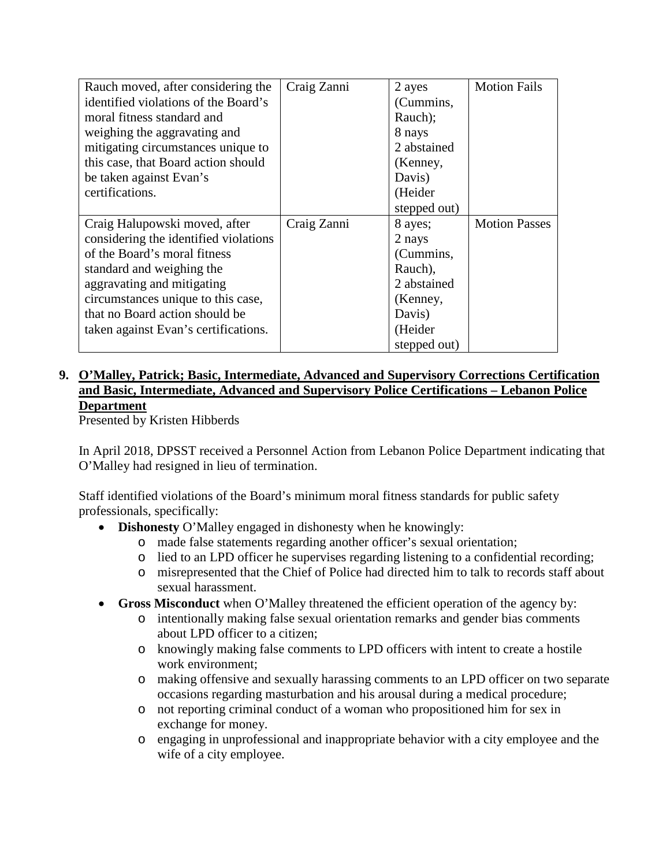| Rauch moved, after considering the    | Craig Zanni | 2 ayes       | <b>Motion Fails</b>  |
|---------------------------------------|-------------|--------------|----------------------|
| identified violations of the Board's  |             | (Cummins,    |                      |
| moral fitness standard and            |             | Rauch);      |                      |
| weighing the aggravating and          |             | 8 nays       |                      |
| mitigating circumstances unique to    |             | 2 abstained  |                      |
| this case, that Board action should   |             | (Kenney,     |                      |
| be taken against Evan's               |             | Davis)       |                      |
| certifications.                       |             | (Heider      |                      |
|                                       |             | stepped out) |                      |
| Craig Halupowski moved, after         | Craig Zanni | 8 ayes;      | <b>Motion Passes</b> |
| considering the identified violations |             | 2 nays       |                      |
| of the Board's moral fitness          |             | (Cummins,    |                      |
| standard and weighing the             |             | Rauch),      |                      |
| aggravating and mitigating            |             | 2 abstained  |                      |
| circumstances unique to this case,    |             | (Kenney,     |                      |
| that no Board action should be        |             | Davis)       |                      |
| taken against Evan's certifications.  |             | (Heider      |                      |
|                                       |             | stepped out) |                      |

### **9. O'Malley, Patrick; Basic, Intermediate, Advanced and Supervisory Corrections Certification and Basic, Intermediate, Advanced and Supervisory Police Certifications – Lebanon Police Department**

Presented by Kristen Hibberds

In April 2018, DPSST received a Personnel Action from Lebanon Police Department indicating that O'Malley had resigned in lieu of termination.

Staff identified violations of the Board's minimum moral fitness standards for public safety professionals, specifically:

- **Dishonesty** O'Malley engaged in dishonesty when he knowingly:
	- o made false statements regarding another officer's sexual orientation;
	- o lied to an LPD officer he supervises regarding listening to a confidential recording;
	- o misrepresented that the Chief of Police had directed him to talk to records staff about sexual harassment.
- **Gross Misconduct** when O'Malley threatened the efficient operation of the agency by:
	- o intentionally making false sexual orientation remarks and gender bias comments about LPD officer to a citizen;
	- o knowingly making false comments to LPD officers with intent to create a hostile work environment;
	- o making offensive and sexually harassing comments to an LPD officer on two separate occasions regarding masturbation and his arousal during a medical procedure;
	- o not reporting criminal conduct of a woman who propositioned him for sex in exchange for money.
	- o engaging in unprofessional and inappropriate behavior with a city employee and the wife of a city employee.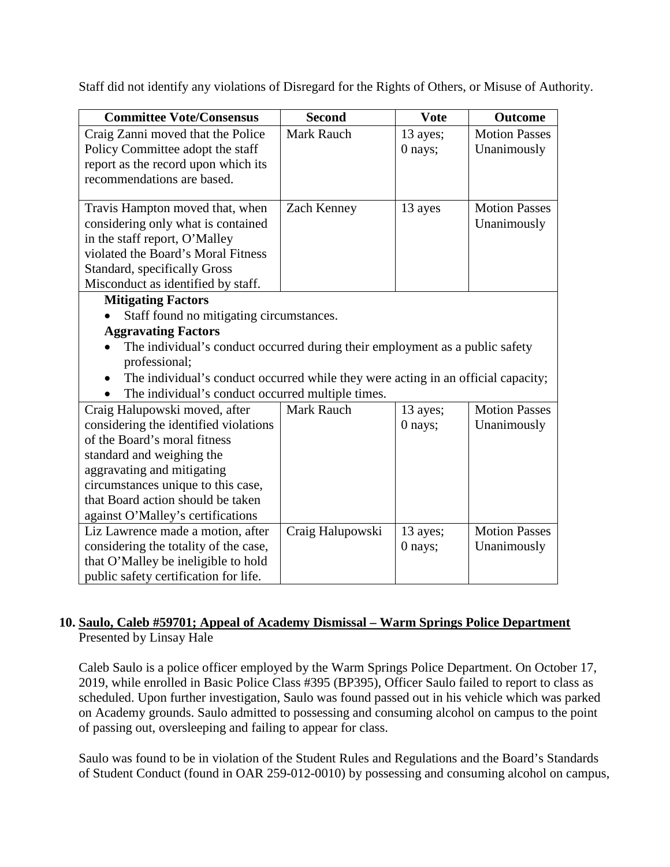Staff did not identify any violations of Disregard for the Rights of Others, or Misuse of Authority.

| <b>Committee Vote/Consensus</b>                                                   | <b>Second</b>     | <b>Vote</b> | <b>Outcome</b>       |
|-----------------------------------------------------------------------------------|-------------------|-------------|----------------------|
| Craig Zanni moved that the Police                                                 | <b>Mark Rauch</b> | 13 ayes;    | <b>Motion Passes</b> |
| Policy Committee adopt the staff                                                  |                   | 0 nays;     | Unanimously          |
| report as the record upon which its                                               |                   |             |                      |
| recommendations are based.                                                        |                   |             |                      |
|                                                                                   |                   |             |                      |
| Travis Hampton moved that, when                                                   | Zach Kenney       | 13 ayes     | <b>Motion Passes</b> |
| considering only what is contained                                                |                   |             | Unanimously          |
| in the staff report, O'Malley                                                     |                   |             |                      |
| violated the Board's Moral Fitness                                                |                   |             |                      |
| Standard, specifically Gross                                                      |                   |             |                      |
| Misconduct as identified by staff.                                                |                   |             |                      |
| <b>Mitigating Factors</b>                                                         |                   |             |                      |
| Staff found no mitigating circumstances.                                          |                   |             |                      |
| <b>Aggravating Factors</b>                                                        |                   |             |                      |
| The individual's conduct occurred during their employment as a public safety      |                   |             |                      |
| professional;                                                                     |                   |             |                      |
| The individual's conduct occurred while they were acting in an official capacity; |                   |             |                      |
| The individual's conduct occurred multiple times.                                 |                   |             |                      |
| Craig Halupowski moved, after                                                     | <b>Mark Rauch</b> | 13 ayes;    | <b>Motion Passes</b> |
| considering the identified violations                                             |                   | 0 nays;     | Unanimously          |
| of the Board's moral fitness                                                      |                   |             |                      |
| standard and weighing the                                                         |                   |             |                      |
| aggravating and mitigating                                                        |                   |             |                      |
| circumstances unique to this case,                                                |                   |             |                      |
| that Board action should be taken                                                 |                   |             |                      |
| against O'Malley's certifications                                                 |                   |             |                      |
| Liz Lawrence made a motion, after                                                 | Craig Halupowski  | 13 ayes;    | <b>Motion Passes</b> |
| considering the totality of the case,                                             |                   | 0 nays;     | Unanimously          |
| that O'Malley be ineligible to hold                                               |                   |             |                      |
| public safety certification for life.                                             |                   |             |                      |

### **10. Saulo, Caleb #59701; Appeal of Academy Dismissal – Warm Springs Police Department** Presented by Linsay Hale

Caleb Saulo is a police officer employed by the Warm Springs Police Department. On October 17, 2019, while enrolled in Basic Police Class #395 (BP395), Officer Saulo failed to report to class as scheduled. Upon further investigation, Saulo was found passed out in his vehicle which was parked on Academy grounds. Saulo admitted to possessing and consuming alcohol on campus to the point of passing out, oversleeping and failing to appear for class.

Saulo was found to be in violation of the Student Rules and Regulations and the Board's Standards of Student Conduct (found in OAR 259-012-0010) by possessing and consuming alcohol on campus,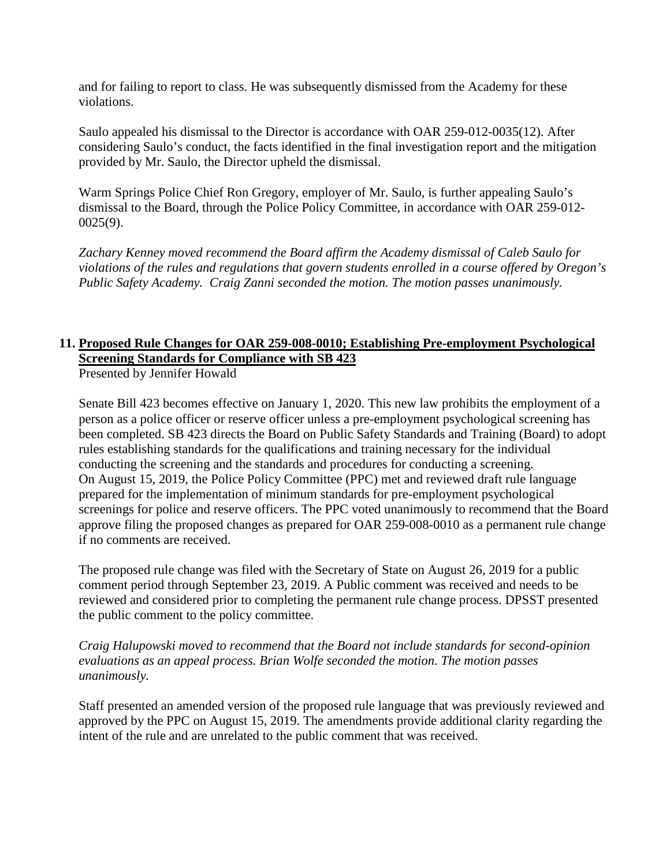and for failing to report to class. He was subsequently dismissed from the Academy for these violations.

Saulo appealed his dismissal to the Director is accordance with OAR 259-012-0035(12). After considering Saulo's conduct, the facts identified in the final investigation report and the mitigation provided by Mr. Saulo, the Director upheld the dismissal.

Warm Springs Police Chief Ron Gregory, employer of Mr. Saulo, is further appealing Saulo's dismissal to the Board, through the Police Policy Committee, in accordance with OAR 259-012- 0025(9).

*Zachary Kenney moved recommend the Board affirm the Academy dismissal of Caleb Saulo for violations of the rules and regulations that govern students enrolled in a course offered by Oregon's Public Safety Academy. Craig Zanni seconded the motion. The motion passes unanimously.* 

### **11. Proposed Rule Changes for OAR 259-008-0010; Establishing Pre-employment Psychological Screening Standards for Compliance with SB 423**

Presented by Jennifer Howald

Senate Bill 423 becomes effective on January 1, 2020. This new law prohibits the employment of a person as a police officer or reserve officer unless a pre-employment psychological screening has been completed. SB 423 directs the Board on Public Safety Standards and Training (Board) to adopt rules establishing standards for the qualifications and training necessary for the individual conducting the screening and the standards and procedures for conducting a screening. On August 15, 2019, the Police Policy Committee (PPC) met and reviewed draft rule language prepared for the implementation of minimum standards for pre-employment psychological screenings for police and reserve officers. The PPC voted unanimously to recommend that the Board approve filing the proposed changes as prepared for OAR 259-008-0010 as a permanent rule change if no comments are received.

The proposed rule change was filed with the Secretary of State on August 26, 2019 for a public comment period through September 23, 2019. A Public comment was received and needs to be reviewed and considered prior to completing the permanent rule change process. DPSST presented the public comment to the policy committee.

*Craig Halupowski moved to recommend that the Board not include standards for second-opinion evaluations as an appeal process. Brian Wolfe seconded the motion. The motion passes unanimously.* 

Staff presented an amended version of the proposed rule language that was previously reviewed and approved by the PPC on August 15, 2019. The amendments provide additional clarity regarding the intent of the rule and are unrelated to the public comment that was received.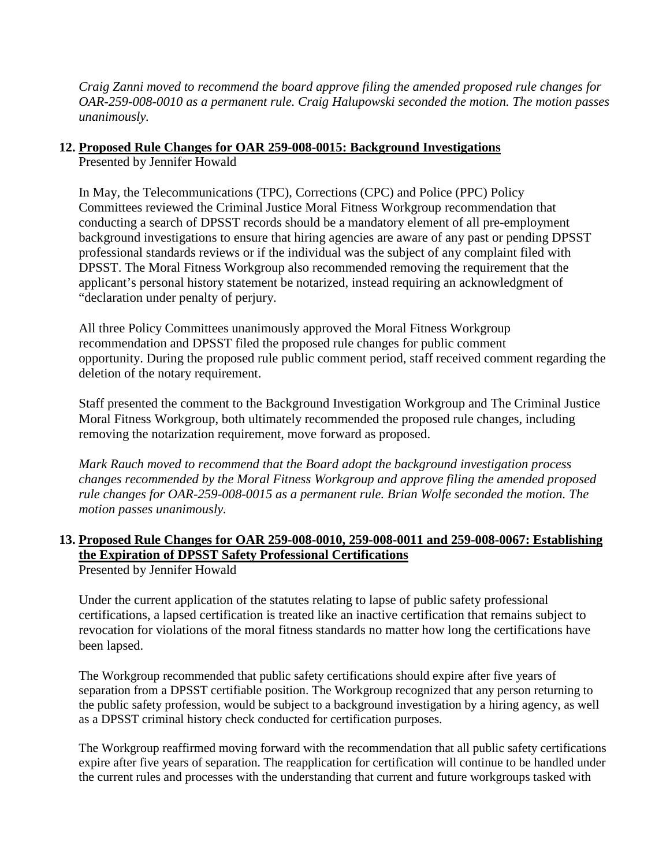*Craig Zanni moved to recommend the board approve filing the amended proposed rule changes for OAR-259-008-0010 as a permanent rule. Craig Halupowski seconded the motion. The motion passes unanimously.*

### **12. Proposed Rule Changes for OAR 259-008-0015: Background Investigations**

Presented by Jennifer Howald

In May, the Telecommunications (TPC), Corrections (CPC) and Police (PPC) Policy Committees reviewed the Criminal Justice Moral Fitness Workgroup recommendation that conducting a search of DPSST records should be a mandatory element of all pre-employment background investigations to ensure that hiring agencies are aware of any past or pending DPSST professional standards reviews or if the individual was the subject of any complaint filed with DPSST. The Moral Fitness Workgroup also recommended removing the requirement that the applicant's personal history statement be notarized, instead requiring an acknowledgment of "declaration under penalty of perjury.

All three Policy Committees unanimously approved the Moral Fitness Workgroup recommendation and DPSST filed the proposed rule changes for public comment opportunity. During the proposed rule public comment period, staff received comment regarding the deletion of the notary requirement.

Staff presented the comment to the Background Investigation Workgroup and The Criminal Justice Moral Fitness Workgroup, both ultimately recommended the proposed rule changes, including removing the notarization requirement, move forward as proposed.

*Mark Rauch moved to recommend that the Board adopt the background investigation process changes recommended by the Moral Fitness Workgroup and approve filing the amended proposed rule changes for OAR-259-008-0015 as a permanent rule. Brian Wolfe seconded the motion. The motion passes unanimously.*

### **13. Proposed Rule Changes for OAR 259-008-0010, 259-008-0011 and 259-008-0067: Establishing the Expiration of DPSST Safety Professional Certifications**

Presented by Jennifer Howald

Under the current application of the statutes relating to lapse of public safety professional certifications, a lapsed certification is treated like an inactive certification that remains subject to revocation for violations of the moral fitness standards no matter how long the certifications have been lapsed.

The Workgroup recommended that public safety certifications should expire after five years of separation from a DPSST certifiable position. The Workgroup recognized that any person returning to the public safety profession, would be subject to a background investigation by a hiring agency, as well as a DPSST criminal history check conducted for certification purposes.

The Workgroup reaffirmed moving forward with the recommendation that all public safety certifications expire after five years of separation. The reapplication for certification will continue to be handled under the current rules and processes with the understanding that current and future workgroups tasked with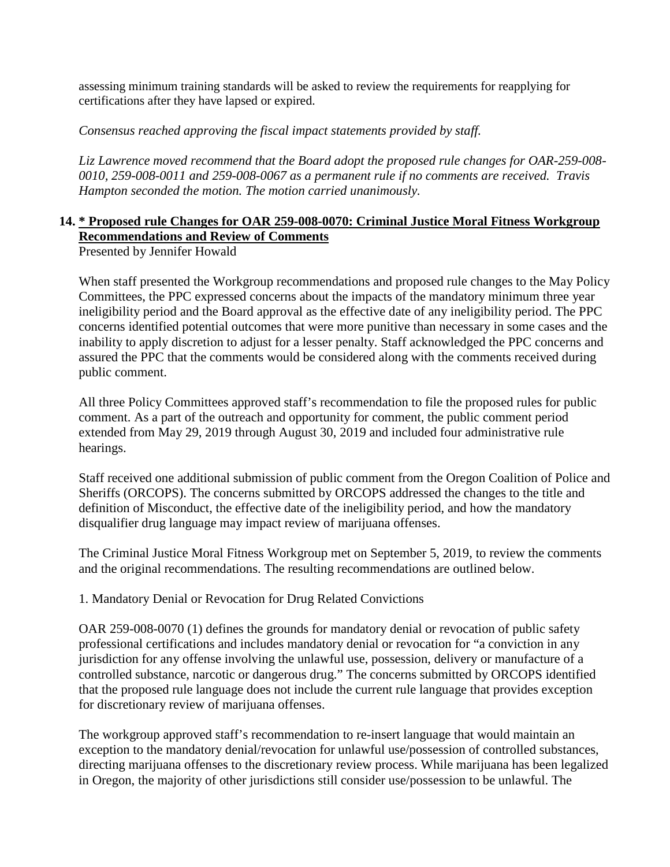assessing minimum training standards will be asked to review the requirements for reapplying for certifications after they have lapsed or expired.

*Consensus reached approving the fiscal impact statements provided by staff.* 

*Liz Lawrence moved recommend that the Board adopt the proposed rule changes for OAR-259-008- 0010, 259-008-0011 and 259-008-0067 as a permanent rule if no comments are received. Travis Hampton seconded the motion. The motion carried unanimously.* 

# **14. \* Proposed rule Changes for OAR 259-008-0070: Criminal Justice Moral Fitness Workgroup Recommendations and Review of Comments**

Presented by Jennifer Howald

When staff presented the Workgroup recommendations and proposed rule changes to the May Policy Committees, the PPC expressed concerns about the impacts of the mandatory minimum three year ineligibility period and the Board approval as the effective date of any ineligibility period. The PPC concerns identified potential outcomes that were more punitive than necessary in some cases and the inability to apply discretion to adjust for a lesser penalty. Staff acknowledged the PPC concerns and assured the PPC that the comments would be considered along with the comments received during public comment.

All three Policy Committees approved staff's recommendation to file the proposed rules for public comment. As a part of the outreach and opportunity for comment, the public comment period extended from May 29, 2019 through August 30, 2019 and included four administrative rule hearings.

Staff received one additional submission of public comment from the Oregon Coalition of Police and Sheriffs (ORCOPS). The concerns submitted by ORCOPS addressed the changes to the title and definition of Misconduct, the effective date of the ineligibility period, and how the mandatory disqualifier drug language may impact review of marijuana offenses.

The Criminal Justice Moral Fitness Workgroup met on September 5, 2019, to review the comments and the original recommendations. The resulting recommendations are outlined below.

1. Mandatory Denial or Revocation for Drug Related Convictions

OAR 259-008-0070 (1) defines the grounds for mandatory denial or revocation of public safety professional certifications and includes mandatory denial or revocation for "a conviction in any jurisdiction for any offense involving the unlawful use, possession, delivery or manufacture of a controlled substance, narcotic or dangerous drug." The concerns submitted by ORCOPS identified that the proposed rule language does not include the current rule language that provides exception for discretionary review of marijuana offenses.

The workgroup approved staff's recommendation to re-insert language that would maintain an exception to the mandatory denial/revocation for unlawful use/possession of controlled substances, directing marijuana offenses to the discretionary review process. While marijuana has been legalized in Oregon, the majority of other jurisdictions still consider use/possession to be unlawful. The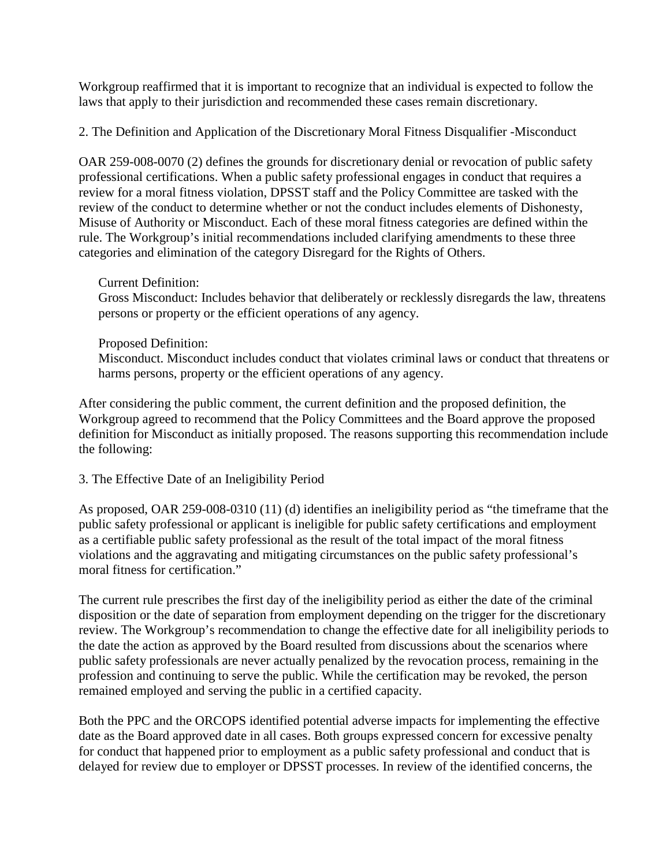Workgroup reaffirmed that it is important to recognize that an individual is expected to follow the laws that apply to their jurisdiction and recommended these cases remain discretionary.

2. The Definition and Application of the Discretionary Moral Fitness Disqualifier -Misconduct

OAR 259-008-0070 (2) defines the grounds for discretionary denial or revocation of public safety professional certifications. When a public safety professional engages in conduct that requires a review for a moral fitness violation, DPSST staff and the Policy Committee are tasked with the review of the conduct to determine whether or not the conduct includes elements of Dishonesty, Misuse of Authority or Misconduct. Each of these moral fitness categories are defined within the rule. The Workgroup's initial recommendations included clarifying amendments to these three categories and elimination of the category Disregard for the Rights of Others.

#### Current Definition:

Gross Misconduct: Includes behavior that deliberately or recklessly disregards the law, threatens persons or property or the efficient operations of any agency.

#### Proposed Definition:

Misconduct. Misconduct includes conduct that violates criminal laws or conduct that threatens or harms persons, property or the efficient operations of any agency.

After considering the public comment, the current definition and the proposed definition, the Workgroup agreed to recommend that the Policy Committees and the Board approve the proposed definition for Misconduct as initially proposed. The reasons supporting this recommendation include the following:

### 3. The Effective Date of an Ineligibility Period

As proposed, OAR 259-008-0310 (11) (d) identifies an ineligibility period as "the timeframe that the public safety professional or applicant is ineligible for public safety certifications and employment as a certifiable public safety professional as the result of the total impact of the moral fitness violations and the aggravating and mitigating circumstances on the public safety professional's moral fitness for certification."

The current rule prescribes the first day of the ineligibility period as either the date of the criminal disposition or the date of separation from employment depending on the trigger for the discretionary review. The Workgroup's recommendation to change the effective date for all ineligibility periods to the date the action as approved by the Board resulted from discussions about the scenarios where public safety professionals are never actually penalized by the revocation process, remaining in the profession and continuing to serve the public. While the certification may be revoked, the person remained employed and serving the public in a certified capacity.

Both the PPC and the ORCOPS identified potential adverse impacts for implementing the effective date as the Board approved date in all cases. Both groups expressed concern for excessive penalty for conduct that happened prior to employment as a public safety professional and conduct that is delayed for review due to employer or DPSST processes. In review of the identified concerns, the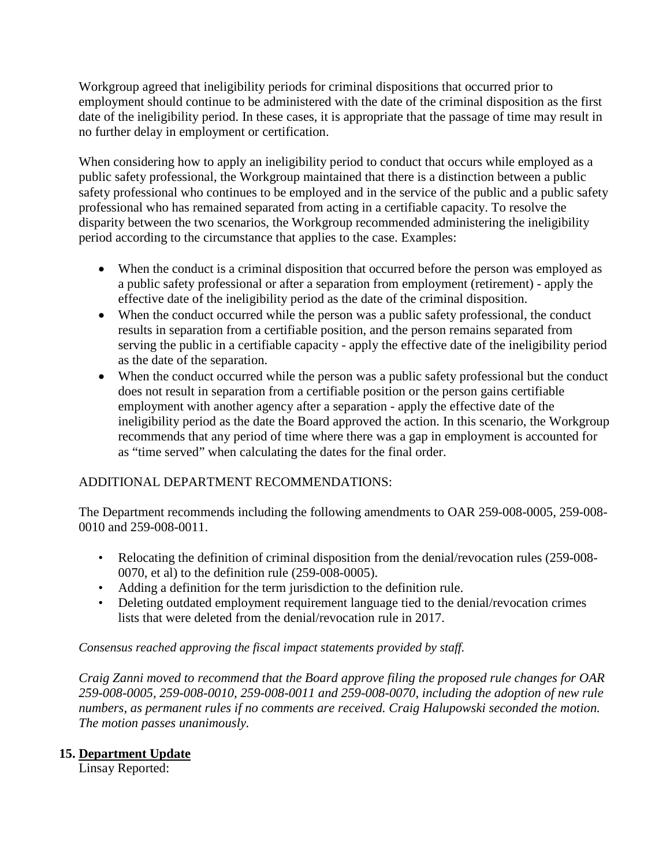Workgroup agreed that ineligibility periods for criminal dispositions that occurred prior to employment should continue to be administered with the date of the criminal disposition as the first date of the ineligibility period. In these cases, it is appropriate that the passage of time may result in no further delay in employment or certification.

When considering how to apply an ineligibility period to conduct that occurs while employed as a public safety professional, the Workgroup maintained that there is a distinction between a public safety professional who continues to be employed and in the service of the public and a public safety professional who has remained separated from acting in a certifiable capacity. To resolve the disparity between the two scenarios, the Workgroup recommended administering the ineligibility period according to the circumstance that applies to the case. Examples:

- When the conduct is a criminal disposition that occurred before the person was employed as a public safety professional or after a separation from employment (retirement) - apply the effective date of the ineligibility period as the date of the criminal disposition.
- When the conduct occurred while the person was a public safety professional, the conduct results in separation from a certifiable position, and the person remains separated from serving the public in a certifiable capacity - apply the effective date of the ineligibility period as the date of the separation.
- When the conduct occurred while the person was a public safety professional but the conduct does not result in separation from a certifiable position or the person gains certifiable employment with another agency after a separation - apply the effective date of the ineligibility period as the date the Board approved the action. In this scenario, the Workgroup recommends that any period of time where there was a gap in employment is accounted for as "time served" when calculating the dates for the final order.

### ADDITIONAL DEPARTMENT RECOMMENDATIONS:

The Department recommends including the following amendments to OAR 259-008-0005, 259-008- 0010 and 259-008-0011.

- Relocating the definition of criminal disposition from the denial/revocation rules (259-008- 0070, et al) to the definition rule (259-008-0005).
- Adding a definition for the term jurisdiction to the definition rule.
- Deleting outdated employment requirement language tied to the denial/revocation crimes lists that were deleted from the denial/revocation rule in 2017.

*Consensus reached approving the fiscal impact statements provided by staff.*

*Craig Zanni moved to recommend that the Board approve filing the proposed rule changes for OAR 259-008-0005, 259-008-0010, 259-008-0011 and 259-008-0070, including the adoption of new rule numbers, as permanent rules if no comments are received. Craig Halupowski seconded the motion. The motion passes unanimously.* 

### **15. Department Update**

Linsay Reported: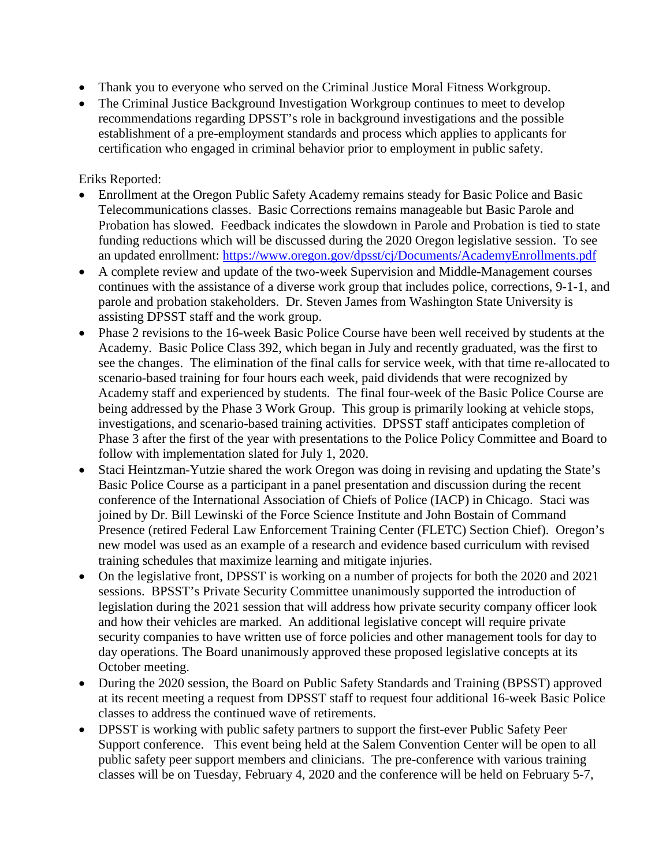- Thank you to everyone who served on the Criminal Justice Moral Fitness Workgroup.
- The Criminal Justice Background Investigation Workgroup continues to meet to develop recommendations regarding DPSST's role in background investigations and the possible establishment of a pre-employment standards and process which applies to applicants for certification who engaged in criminal behavior prior to employment in public safety.

### Eriks Reported:

- Enrollment at the Oregon Public Safety Academy remains steady for Basic Police and Basic Telecommunications classes. Basic Corrections remains manageable but Basic Parole and Probation has slowed. Feedback indicates the slowdown in Parole and Probation is tied to state funding reductions which will be discussed during the 2020 Oregon legislative session. To see an updated enrollment:<https://www.oregon.gov/dpsst/cj/Documents/AcademyEnrollments.pdf>
- A complete review and update of the two-week Supervision and Middle-Management courses continues with the assistance of a diverse work group that includes police, corrections, 9-1-1, and parole and probation stakeholders. Dr. Steven James from Washington State University is assisting DPSST staff and the work group.
- Phase 2 revisions to the 16-week Basic Police Course have been well received by students at the Academy. Basic Police Class 392, which began in July and recently graduated, was the first to see the changes. The elimination of the final calls for service week, with that time re-allocated to scenario-based training for four hours each week, paid dividends that were recognized by Academy staff and experienced by students. The final four-week of the Basic Police Course are being addressed by the Phase 3 Work Group. This group is primarily looking at vehicle stops, investigations, and scenario-based training activities. DPSST staff anticipates completion of Phase 3 after the first of the year with presentations to the Police Policy Committee and Board to follow with implementation slated for July 1, 2020.
- Staci Heintzman-Yutzie shared the work Oregon was doing in revising and updating the State's Basic Police Course as a participant in a panel presentation and discussion during the recent conference of the International Association of Chiefs of Police (IACP) in Chicago. Staci was joined by Dr. Bill Lewinski of the Force Science Institute and John Bostain of Command Presence (retired Federal Law Enforcement Training Center (FLETC) Section Chief). Oregon's new model was used as an example of a research and evidence based curriculum with revised training schedules that maximize learning and mitigate injuries.
- On the legislative front, DPSST is working on a number of projects for both the 2020 and 2021 sessions. BPSST's Private Security Committee unanimously supported the introduction of legislation during the 2021 session that will address how private security company officer look and how their vehicles are marked. An additional legislative concept will require private security companies to have written use of force policies and other management tools for day to day operations. The Board unanimously approved these proposed legislative concepts at its October meeting.
- During the 2020 session, the Board on Public Safety Standards and Training (BPSST) approved at its recent meeting a request from DPSST staff to request four additional 16-week Basic Police classes to address the continued wave of retirements.
- DPSST is working with public safety partners to support the first-ever Public Safety Peer Support conference. This event being held at the Salem Convention Center will be open to all public safety peer support members and clinicians. The pre-conference with various training classes will be on Tuesday, February 4, 2020 and the conference will be held on February 5-7,